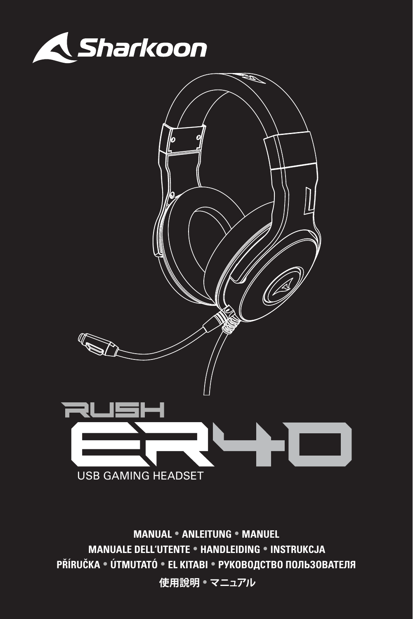



**MANUAL ANLEITUNG MANUEL MANUALE DELL'UTENTE HANDLEIDING INSTRUKCJA PŘÍRUČKA ÚTMUTATÓ EL KITABI РУКОВОДСТВО ПОЛЬЗОВАТЕЛЯ 使用說明 マニュアル**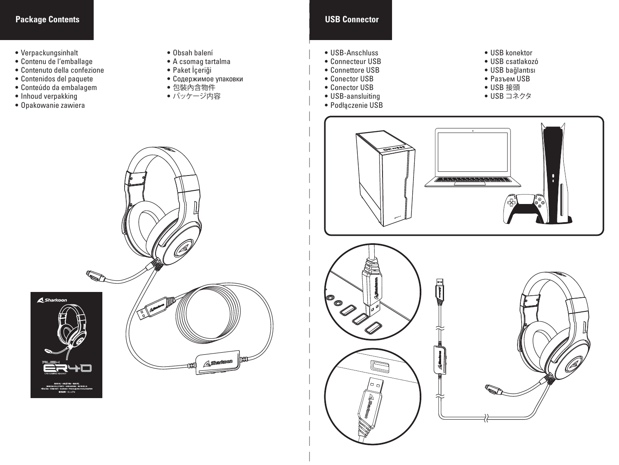#### **Package Contents USB Connector**

- Verpackungsinhalt
- Contenu de l'emballage
- Contenuto della confezione
- Contenidos del paquete
- Conteúdo da embalagem
- Inhoud verpakking
- Opakowanie zawiera
- Obsah balení
- A csomag tartalma
- Paket İçeriği
- Содержимое упаковки
- 包裝內含物件
- パッケージ内容



- USB-Anschluss
- Connecteur USB •••••••
- Connettore USB
- Conector USB
- Conector USB
- USB-aansluiting
- Podłączenie USB
- USB konektor
- USB csatlakozó
- USB bağlantısı
- Разъем USB<br>• USB 接頭
- 
- USB コネクタ





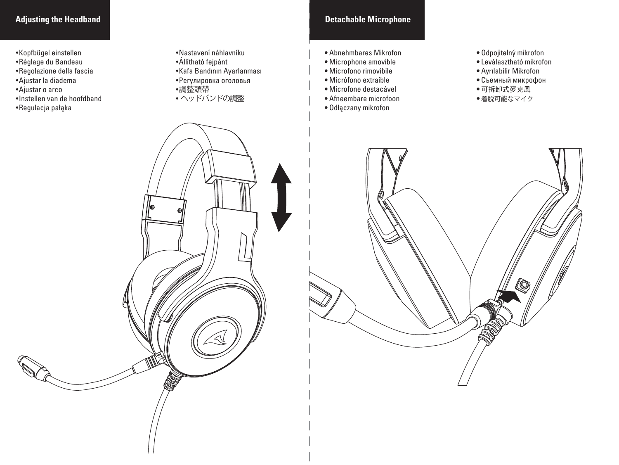#### **Adjusting the Headband**

- Kopfbügel einstellen
- Réglage du Bandeau
- Regolazione della fascia
- Ajustar la diadema
- Ajustar o arco
- Instellen van de hoofdband
- Regulacja pałąka
- Nastavení náhlavníku
- Állítható fejpánt
- Kafa Bandının Ayarlanması
- Регулировка оголовья
- 調整頭帶
- ヘッドバンドの調整

#### **Detachable Microphone**

- Abnehmbares Mikrofon
- Microphone amovible
- Microfono rimovibile
- Micrófono extraíble
- Microfone destacável
- Afneembare microfoon
- Odłączany mikrofon
- Odpojitelný mikrofon
- Leválasztható mikrofon
- Ayrılabilir Mikrofon
- Съемный микрофон
- 可拆卸式麥克風
- 着脱可能なマイク

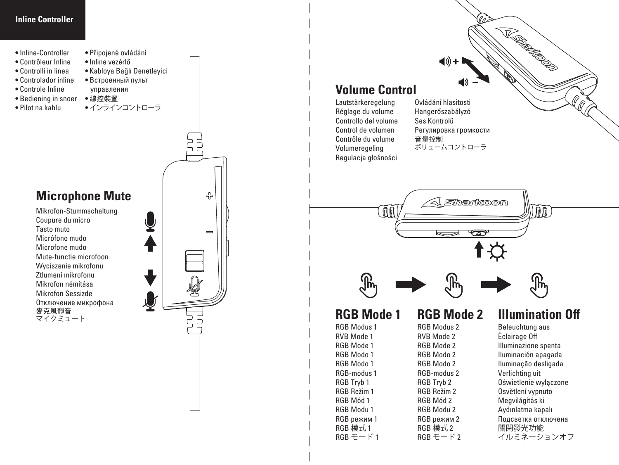#### **Inline Controller**

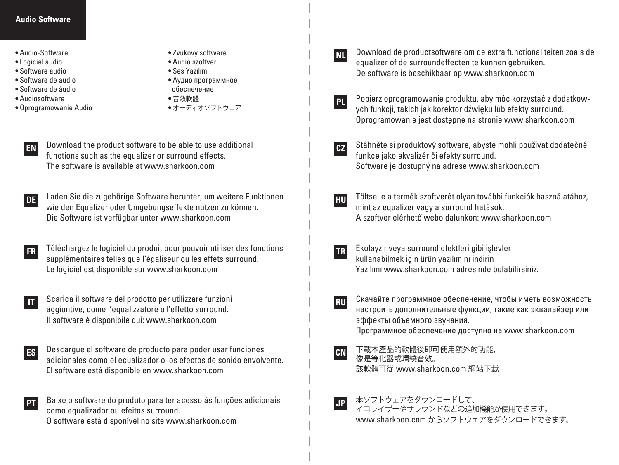#### **Audio Software**

- Audio-Software
- Logiciel audio
- Software audio
- Software de audio
- Software de áudio
- Audiosoftware
- Oprogramowanie Audio
- Zvukový software
- Audio szoftver • Ses Yazılımı
- Аудио программное
- обеспечение
- 音效軟體
- オーディオソフトウェア
- **EN** Download the product software to be able to use additional functions such as the equalizer or surround effects. The software is available at www.sharkoon.com
- **DE** Laden Sie die zugehörige Software herunter, um weitere Funktionen wie den Equalizer oder Umgebungseffekte nutzen zu können. Die Software ist verfügbar unter www.sharkoon.com
- **FR** Téléchargez le logiciel du produit pour pouvoir utiliser des fonctions supplémentaires telles que l'égaliseur ou les effets surround. Le logiciel est disponible sur www.sharkoon.com
- **IT** Scarica il software del prodotto per utilizzare funzioni aggiuntive, come l'equalizzatore o l'effetto surround. Il software è disponibile qui: www.sharkoon.com
- **ES** Descargue el software de producto para poder usar funciones adicionales como el ecualizador o los efectos de sonido envolvente. El software está disponible en www.sharkoon.com

**PT** Baixe o software do produto para ter acesso às funções adicionais como equalizador ou efeitos surround. O software está disponível no site www.sharkoon.com

**NL Download de productsoftware om de extra functionaliteiten zoals de** equalizer of de surroundeffecten te kunnen gebruiken. De software is beschikbaar op www.sharkoon.com

- **PL** Pobierz oprogramowanie produktu, aby móc korzystać z dodatkowych funkcji, takich jak korektor dźwięku lub efekty surround. Oprogramowanie jest dostępne na stronie www.sharkoon.com
- **CZ** Stáhněte si produktový software, abyste mohli používat dodatečné funkce jako ekvalizér či efekty surround. Software je dostupný na adrese www.sharkoon.com
- **HU** Töltse le a termék szoftverét olyan további funkciók használatához, mint az equalizer vagy a surround hatások. A szoftver elérhető weboldalunkon: www.sharkoon.com
- **TR** Ekolayzır veya surround efektleri gibi işlevler kullanabilmek için ürün yazılımını indirin Yazılımı www.sharkoon.com adresinde bulabilirsiniz.
- **RU** Скачайте программное обеспечение, чтобы иметь возможность настроить дополнительные функции, такие как эквалайзер или эффекты объемного звучания. Программное обеспечение доступно на www.sharkoon.com
- **CN** 下載本產品的軟體後即可使用額外的功能, 像是等化器或環繞音效。 該軟體可從 www.sharkoon.com 網站下載
- **JP** 本ソフトウェアをダウンロードして、 イコライザーやサラウンドなどの追加機能が使用できます。 www.sharkoon.com からソフトウェアをダウンロードできます。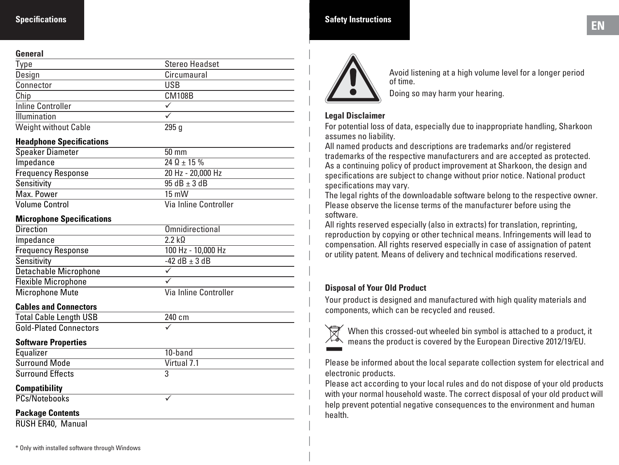#### **General**

| -------                     |                       |  |
|-----------------------------|-----------------------|--|
| Type                        | <b>Stereo Headset</b> |  |
| Design                      | Circumaural           |  |
| Connector                   | USB                   |  |
| Chip                        | <b>CM108B</b>         |  |
| <b>Inline Controller</b>    |                       |  |
| Illumination                |                       |  |
| <b>Weight without Cable</b> | 295q                  |  |

#### **Headphone Specifications**

| <b>Speaker Diameter</b>   | $50 \text{ mm}$       |
|---------------------------|-----------------------|
| Impedance                 | $24 \Omega + 15 \%$   |
| <b>Frequency Response</b> | 20 Hz - 20,000 Hz     |
| Sensitivity               | $95 dB + 3 dB$        |
| Max. Power                | $15 \text{ mW}$       |
| <b>Volume Control</b>     | Via Inline Controller |

#### **Microphone Specifications**

| <b>Direction</b>           | Omnidirectional       |
|----------------------------|-----------------------|
| Impedance                  | 22 kO                 |
| <b>Frequency Response</b>  | 100 Hz - 10,000 Hz    |
| Sensitivity                | $-42$ dB $+3$ dB      |
| Detachable Microphone      |                       |
| <b>Flexible Microphone</b> |                       |
| <b>Microphone Mute</b>     | Via Inline Controller |

#### **Cables and Connectors**

| <b>Total Cable Length USB</b> | 240 cm |
|-------------------------------|--------|
| <b>Gold-Plated Connectors</b> |        |

#### **Software Properties**

| Equalizer               | 10-band     |
|-------------------------|-------------|
| <b>Surround Mode</b>    | Virtual 7.1 |
| <b>Surround Effects</b> |             |
|                         |             |
| <b>Compatibility</b>    |             |
| PCs/Notebooks           |             |

#### **Package Contents**

RUSH ER40, Manual

# **Specifications EN Safety Instructions**



Avoid listening at a high volume level for a longer period of time.

Doing so may harm your hearing.

#### **Legal Disclaimer**

For potential loss of data, especially due to inappropriate handling, Sharkoon assumes no liability.

All named products and descriptions are trademarks and/or registered trademarks of the respective manufacturers and are accepted as protected. As a continuing policy of product improvement at Sharkoon, the design and specifications are subject to change without prior notice. National product specifications may vary.

The legal rights of the downloadable software belong to the respective owner. Please observe the license terms of the manufacturer before using the software.

All rights reserved especially (also in extracts) for translation, reprinting, reproduction by copying or other technical means. Infringements will lead to compensation. All rights reserved especially in case of assignation of patent or utility patent. Means of delivery and technical modifications reserved.

#### **Disposal of Your Old Product**

Your product is designed and manufactured with high quality materials and components, which can be recycled and reused.



When this crossed-out wheeled bin symbol is attached to a product, it means the product is covered by the European Directive 2012/19/EU.

Please be informed about the local separate collection system for electrical and electronic products.

Please act according to your local rules and do not dispose of your old products with your normal household waste. The correct disposal of your old product will help prevent potential negative consequences to the environment and human health.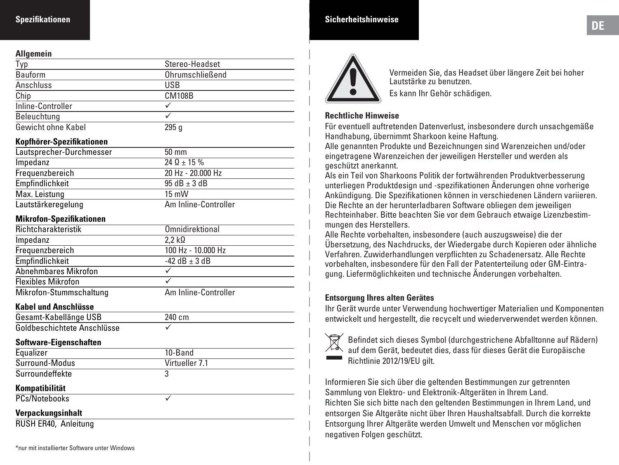#### **Spezifikationen**

#### **Allgemein**

| ,,,,,,,,,,,,,      |                 |  |
|--------------------|-----------------|--|
| Typ                | Stereo-Headset  |  |
| Bauform            | Ohrumschließend |  |
| Anschluss          | USB             |  |
| Chip               | <b>CM108B</b>   |  |
| Inline-Controller  |                 |  |
| Beleuchtung        |                 |  |
| Gewicht ohne Kabel | 295q            |  |

#### **Kopfhöre r-Spezifikationen**

| Lautsprecher-Durchmesser | $50 \text{ mm}$      |
|--------------------------|----------------------|
| Impedanz                 | $24 \Omega + 15 \%$  |
| Frequenzbereich          | 20 Hz - 20,000 Hz    |
| Empfindlichkeit          | $95 dB \pm 3 dB$     |
| Max. Leistung            | $15 \text{ mW}$      |
| Lautstärkeregelung       | Am Inline-Controller |

#### **Mikrofon-Spezifikationen**

| Richtcharakteristik       | Omnidirektional       |
|---------------------------|-----------------------|
| Impedanz                  | $2.2 \text{ k}\Omega$ |
| Frequenzbereich           | 100 Hz - 10.000 Hz    |
| Empfindlichkeit           | $-42$ dB $\pm$ 3 dB   |
| Abnehmbares Mikrofon      |                       |
| <b>Flexibles Mikrofon</b> |                       |
| Mikrofon-Stummschaltung   | Am Inline-Controller  |

#### **Kabel und Anschlüsse**

| Software-Eigenschaften      |        |  |
|-----------------------------|--------|--|
| Goldbeschichtete Anschlüsse |        |  |
| Gesamt-Kabellänge USB       | 240 cm |  |

| Equalizer       | 10-Band        |  |
|-----------------|----------------|--|
| Surround-Modus  | Virtueller 7.1 |  |
| Surroundeffekte |                |  |
| Kompatibilität  |                |  |
| PCs/Notebooks   |                |  |
|                 |                |  |

#### **Verpackungsinhalt**

RUSH ER40, Anleitung

# **DE Sicherheitshinweise**



Vermeiden Sie, das Headset über längere Zeit bei hoher Lautstärke zu benutzen. Es kann Ihr Gehör schädigen.

#### **Rechtliche Hinweise**

Für eventuell auftretenden Datenverlust, insbesondere durch unsachgemäße Handhabung, übernimmt Sharkoon keine Haftung.

Alle genannten Produkte und Bezeichnungen sind Warenzeichen und/oder eingetragene Warenzeichen der jeweiligen Hersteller und werden als geschützt anerkannt.

Als ein Teil von Sharkoons Politik der fortwährenden Produktverbesserung unterliegen Produktdesign und -spezifikationen Änderungen ohne vorherige Ankündigung. Die Spezifikationen können in verschiedenen Ländern variieren. Die Rechte an der herunterladbaren Software obliegen dem jeweiligen Rechteinhaber. Bitte beachten Sie vor dem Gebrauch etwaige Lizenzbestim mungen des Herstellers.

Alle Rechte vorbehalten, insbesondere (auch auszugsweise) die der Übersetzung, des Nachdrucks, der Wiedergabe durch Kopieren oder ähnliche Verfahren. Zuwiderhandlungen verpflichten zu Schadenersatz. Alle Rechte vorbehalten, insbesondere für den Fall der Patenterteilung oder GM-Eintra gung. Liefermöglichkeiten und technische Änderungen vorbehalten.

#### **Entsorgung Ihres alten Gerätes**

Ihr Gerät wurde unter Verwendung hochwertiger Materialien und Komponenten entwickelt und hergestellt, die recycelt und wiederverwendet werden können.



Befindet sich dieses Symbol (durchgestrichene Abfalltonne auf Rädern) auf dem Gerät, bedeutet dies, dass für dieses Gerät die Europäische Richtlinie 2012/19/EU gilt.

Informieren Sie sich über die geltenden Bestimmungen zur getrennten Sammlung von Elektro- und Elektronik-Altgeräten in Ihrem Land. Richten Sie sich bitte nach den geltenden Bestimmungen in Ihrem Land, und entsorgen Sie Altgeräte nicht über Ihren Haushaltsabfall. Durch die korrekte Entsorgung Ihrer Altgeräte werden Umwelt und Menschen vor möglichen negativen Folgen geschützt.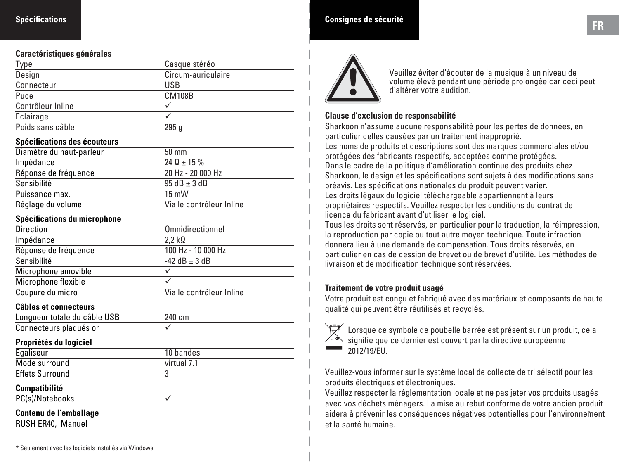#### **Spécifications**

#### **Caractéristiques générales**

| Type              | Casque stéréo      |
|-------------------|--------------------|
| Design            | Circum-auriculaire |
| Connecteur        | USB                |
| Puce              | <b>CM108B</b>      |
| Contrôleur Inline |                    |
| Eclairage         |                    |
| Poids sans câble  | 295a               |

#### **Spécifications des écouteurs**

| Diamètre du haut-parleur | $50 \text{ mm}$          |
|--------------------------|--------------------------|
| Impédance                | $24 \Omega + 15 \%$      |
| Réponse de fréquence     | 20 Hz - 20 000 Hz        |
| Sensibilité              | $95 dB + 3 dB$           |
| Puissance max.           | $15 \text{ mW}$          |
| Réglage du volume        | Via le contrôleur Inline |

#### **Spécifications du microphone**

| <b>Direction</b>     | Omnidirectionnel         |
|----------------------|--------------------------|
| Impédance            | $2.2 \text{ k}\Omega$    |
| Réponse de fréquence | 100 Hz - 10 000 Hz       |
| Sensibilité          | $-42$ dB $+3$ dB         |
| Microphone amovible  |                          |
| Microphone flexible  |                          |
| Coupure du micro     | Via le contrôleur Inline |

#### **Câbles et connecteurs**

| vuvics cl connecteurs        |             |
|------------------------------|-------------|
| Longueur totale du câble USB | 240 cm      |
| Connecteurs plaqués or       | ✓           |
| Propriétés du logiciel       |             |
| Egaliseur                    | 10 bandes   |
| Mode surround                | virtual 7.1 |
| <b>Effets Surround</b>       | 3           |
| <b>Compatibilité</b>         |             |
| PC(s)/Notebooks              |             |
| Contenu de l'emballage       |             |

RUSH ER40, Manuel

| <b>Consignes de sécurité</b> | FR |
|------------------------------|----|
|                              |    |



Veuillez éviter d'écouter de la musique à un niveau de volume élevé pendant une période prolongée car ceci peut d'altérer votre audition.

#### **Clause d'exclusion de responsabilité**

Sharkoon n'assume aucune responsabilité pour les pertes de données, en particulier celles causées par un traitement inapproprié. Les noms de produits et descriptions sont des marques commerciales et/ou protégées des fabricants respectifs, acceptées comme protégées. Dans le cadre de la politique d'amélioration continue des produits chez Sharkoon, le design et les spécifications sont sujets à des modifications sans préavis. Les spécifications nationales du produit peuvent varier. Les droits légaux du logiciel téléchargeable appartiennent à leurs propriétaires respectifs. Veuillez respecter les conditions du contrat de licence du fabricant avant d'utiliser le logiciel.

Tous les droits sont réservés, en particulier pour la traduction, la réimpression, la reproduction par copie ou tout autre moyen technique. Toute infraction donnera lieu à une demande de compensation. Tous droits réservés, en particulier en cas de cession de brevet ou de brevet d'utilité. Les méthodes de livraison et de modification technique sont réservées.

#### **Traitement de votre produit usagé**

Votre produit est conçu et fabriqué avec des matériaux et composants de haute qualité qui peuvent être réutilisés et recyclés.



Lorsque ce symbole de poubelle barrée est présent sur un produit, cela signifie que ce dernier est couvert par la directive européenne 2012/19/EU.

Veuillez-vous informer sur le système local de collecte de tri sélectif pour les produits électriques et électroniques.

- aidera à prévenir les conséquences négatives potentielles pour l'environnement Veuillez respecter la réglementation locale et ne pas jeter vos produits usagés avec vos déchets ménagers. La mise au rebut conforme de votre ancien produit et la santé humaine.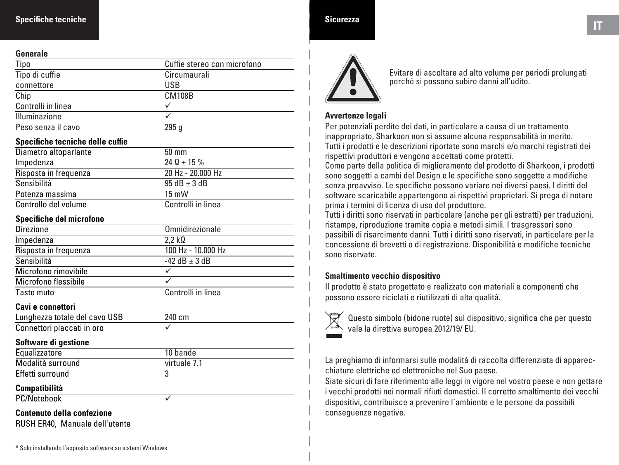#### **Specifiche tecniche**

#### **Generale**

| uviiviuv           |                             |
|--------------------|-----------------------------|
| Tipo               | Cuffie stereo con microfono |
| Tipo di cuffie     | Circumaurali                |
| connettore         | USB                         |
| Chip               | <b>CM108B</b>               |
| Controlli in linea |                             |
| Illuminazione      |                             |
| Peso senza il cavo | 295 a                       |

#### **Specifiche tecniche delle cuffie**

| Diametro altoparlante | $50 \text{ mm}$    |
|-----------------------|--------------------|
| Impedenza             | $240 + 15%$        |
| Risposta in frequenza | 20 Hz - 20,000 Hz  |
| Sensibilità           | $95 dB + 3 dB$     |
| Potenza massima       | $15 \text{ mW}$    |
| Controllo del volume  | Controlli in linea |

#### **Specifiche del microfono**

| <b>Omnidirezionale</b>  |
|-------------------------|
| $2.2 \; \text{k}\Omega$ |
| 100 Hz - 10.000 Hz      |
| -42 dB $\pm$ 3 dB       |
|                         |
|                         |
| Controlli in linea      |
|                         |
| 240 cm                  |
| ✓                       |
|                         |
| 10 bande                |
| virtuale 7.1            |
| 3                       |
|                         |
| ✓                       |
|                         |
|                         |

# **IT IT IT**



Evitare di ascoltare ad alto volume per periodi prolungati perché si possono subire danni all'udito.

#### **Avvertenze legali**

Per potenziali perdite dei dati, in particolare a causa di un trattamento inappropriato, Sharkoon non si assume alcuna responsabilità in merito. Tutti i prodotti e le descrizioni riportate sono marchi e/o marchi registrati dei rispettivi produttori e vengono accettati come protetti.

Come parte della politica di miglioramento del prodotto di Sharkoon, i prodotti sono soggetti a cambi del Design e le specifiche sono soggette a modifiche senza preavviso. Le specifiche possono variare nei diversi paesi. I diritti del software scaricabile appartengono ai rispettivi proprietari. Si prega di notare prima i termini di licenza di uso del produttore.

Tutti i diritti sono riservati in particolare (anche per gli estratti) per traduzioni, ristampe, riproduzione tramite copia e metodi simili. I trasgressori sono passibili di risarcimento danni. Tutti i diritti sono riservati, in particolare per la concessione di brevetti o di registrazione. Disponibilità e modifiche tecniche sono riservate.

#### **Smaltimento vecchio dispositivo**

Il prodotto è stato progettato e realizzato con materiali e componenti che possono essere riciclati e riutilizzati di alta qualità.



Questo simbolo (bidone ruote) sul dispositivo, significa che per questo vale la direttiva europea 2012/19/ EU.

La preghiamo di informarsi sulle modalità di raccolta differenziata di apparecchiature elettriche ed elettroniche nel Suo paese.

Siate sicuri di fare riferimento alle leggi in vigore nel vostro paese e non gettare i vecchi prodotti nei normali rifiuti domestici. Il corretto smaltimento dei vecchi dispositivi, contribuisce a prevenire l´ambiente e le persone da possibili conseguenze negative.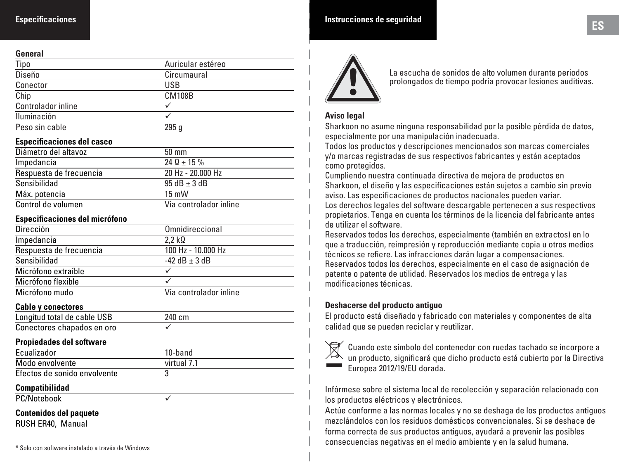#### **General**

| ,,,,,,,,,,         |                   |  |
|--------------------|-------------------|--|
| Tipo               | Auricular estéreo |  |
| Diseño             | Circumaural       |  |
| Conector           | USB               |  |
| Chip               | <b>CM108B</b>     |  |
| Controlador inline |                   |  |
| Iluminación        |                   |  |
| Peso sin cable     | 295q              |  |

#### **Especificaciones del casco**

| Diámetro del altavoz    | $50 \text{ mm}$        |
|-------------------------|------------------------|
| Impedancia              | $24 \Omega + 15 \%$    |
| Respuesta de frecuencia | 20 Hz - 20,000 Hz      |
| Sensibilidad            | $95 dB + 3 dB$         |
| Máx. potencia           | $15 \text{ mW}$        |
| Control de volumen      | Vía controlador inline |

#### **Especificaciones del micrófono**

| <b>Dirección</b>        | Omnidireccional        |
|-------------------------|------------------------|
| Impedancia              | $2.2 \text{ k}\Omega$  |
| Respuesta de frecuencia | 100 Hz - 10.000 Hz     |
| Sensibilidad            | $-42$ dB $+3$ dB       |
| Micrófono extraíble     |                        |
| Micrófono flexible      |                        |
| Micrófono mudo          | Vía controlador inline |

#### **Cable y conectores**

| Longitud total de cable USB | 240 cm |
|-----------------------------|--------|
| Conectores chapados en oro  |        |

#### **Propiedades del software**

| Ecualizador                  | 10-band     |  |
|------------------------------|-------------|--|
| Modo envolvente              | virtual 7.1 |  |
| Efectos de sonido envolvente |             |  |
| Compatibilidad               |             |  |

#### **Compatibilidad**

PC/Notebook V

#### **Contenidos del paquete**

RUSH ER40, Manual

## **ES Instrucciones de seguridad**



La escucha de sonidos de alto volumen durante periodos prolongados de tiempo podría provocar lesiones auditivas.

#### **Aviso legal**

Sharkoon no asume ninguna responsabilidad por la posible pérdida de datos, especialmente por una manipulación inadecuada.

Todos los productos y descripciones mencionados son marcas comerciales y/o marcas registradas de sus respectivos fabricantes y están aceptados como protegidos.

Cumpliendo nuestra continuada directiva de mejora de productos en Sharkoon, el diseño y las especificaciones están sujetos a cambio sin previo aviso. Las especificaciones de productos nacionales pueden variar.

Los derechos legales del software descargable pertenecen a sus respectivos propietarios. Tenga en cuenta los términos de la licencia del fabricante antes de utilizar el software.

Reservados todos los derechos, especialmente (también en extractos) en lo que a traducción, reimpresión y reproducción mediante copia u otros medios técnicos se refiere. Las infracciones darán lugar a compensaciones. Reservados todos los derechos, especialmente en el caso de asignación de patente o patente de utilidad. Reservados los medios de entrega y las modificaciones técnicas.

#### **Deshacerse del producto antiguo**

El producto está diseñado y fabricado con materiales y componentes de alta calidad que se pueden reciclar y reutilizar.



Cuando este símbolo del contenedor con ruedas tachado se incorpore a un producto, significará que dicho producto está cubierto por la Directiva Europea 2012/19/EU dorada.

Infórmese sobre el sistema local de recolección y separación relacionado con los productos eléctricos y electrónicos.

Actúe conforme a las normas locales y no se deshaga de los productos antiguos mezclándolos con los residuos domésticos convencionales. Si se deshace de forma correcta de sus productos antiguos, ayudará a prevenir las posibles consecuencias negativas en el medio ambiente y en la salud humana.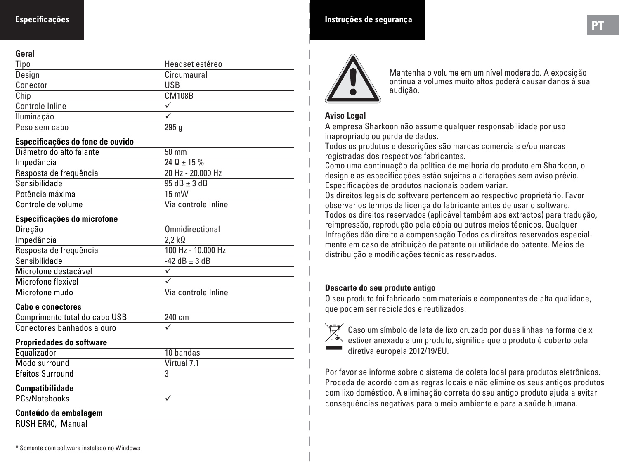#### **Especificações**

#### **Geral**

| ----                   |                 |  |
|------------------------|-----------------|--|
| Tipo                   | Headset estéreo |  |
| Design                 | Circumaural     |  |
| Conector               | USB             |  |
| Chip                   | <b>CM108B</b>   |  |
| <b>Controle Inline</b> |                 |  |
| Iluminação             |                 |  |
| Peso sem cabo          | 295q            |  |

#### **Especificações do fone de ouvido**

| Diâmetro do alto falante | $50 \text{ mm}$     |
|--------------------------|---------------------|
| Impedância               | $24 \Omega + 15 \%$ |
| Resposta de freguência   | 20 Hz - 20,000 Hz   |
| Sensibilidade            | $95 dB + 3 dB$      |
| Potência máxima          | $15 \text{ mW}$     |
| Controle de volume       | Via controle Inline |

#### **Especificações do microfone**

| Direção                | Omnidirectional     |
|------------------------|---------------------|
| Impedância             | $2.2 k\Omega$       |
| Resposta de freguência | 100 Hz - 10.000 Hz  |
| Sensibilidade          | $-42$ dB $+3$ dB    |
| Microfone destacável   | ✓                   |
| Microfone flexivel     |                     |
| Microfone mudo         | Via controle Inline |
| Cabo e conectores      |                     |

#### Comprimento total do cabo USB

| <b>COMMUNICATION COLOR UP CAPP OSS</b> | <b>240 GUL</b> |
|----------------------------------------|----------------|
| Conectores banhados a ouro             |                |

240 cm

#### **Propriedades do software**

| Equalizador              | 10 bandas   |  |
|--------------------------|-------------|--|
| Modo surround            | Virtual 7.1 |  |
| <b>Efeitos Surround</b>  | 3           |  |
| <b>Compatibilidade</b>   |             |  |
| PCs/Notebooks            |             |  |
| Conteúdo da embalagem    |             |  |
| <b>RUSH ER40, Manual</b> |             |  |

## **PT Instruções de segurança**



Mantenha o volume em um nível moderado. A exposição ontínua a volumes muito altos poderá causar danos à sua audição.

#### **Aviso Legal**

A empresa Sharkoon não assume qualquer responsabilidade por uso inapropriado ou perda de dados.

Todos os produtos e descrições são marcas comerciais e/ou marcas registradas dos respectivos fabricantes.

Como uma continuação da política de melhoria do produto em Sharkoon, o design e as especificações estão sujeitas a alterações sem aviso prévio. Especificações de produtos nacionais podem variar.

Os direitos legais do software pertencem ao respectivo proprietário. Favor observar os termos da licença do fabricante antes de usar o software. Todos os direitos reservados (aplicável também aos extractos) para tradução, reimpressão, reprodução pela cópia ou outros meios técnicos. Qualquer Infrações dão direito a compensação Todos os direitos reservados especial mente em caso de atribuição de patente ou utilidade do patente. Meios de distribuição e modificações técnicas reservados.

#### **Descarte do seu produto antigo**

O seu produto foi fabricado com materiais e componentes de alta qualidade, que podem ser reciclados e reutilizados.

Caso um símbolo de lata de lixo cruzado por duas linhas na forma de x estiver anexado a um produto, significa que o produto é coberto pela diretiva europeia 2012/19/EU.

Por favor se informe sobre o sistema de coleta local para produtos eletrônicos. Proceda de acordó com as regras locais e não elimine os seus antigos produtos com lixo doméstico. A eliminação correta do seu antigo produto ajuda a evitar consequências negativas para o meio ambiente e para a saúde humana.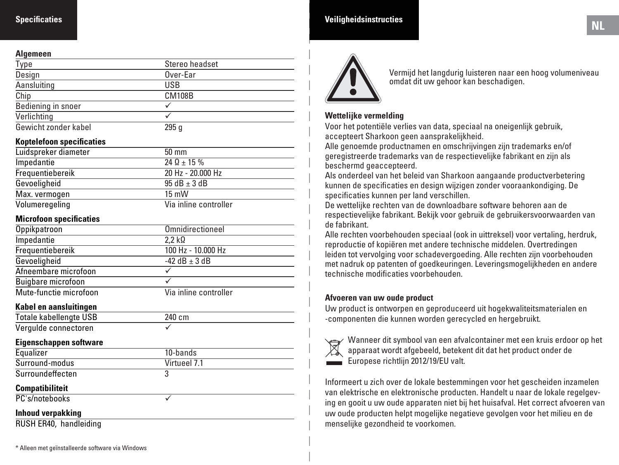#### **Specificaties**

#### **Algemeen**

| , ., ., ., ., ., .,  |                |  |
|----------------------|----------------|--|
| Type                 | Stereo headset |  |
| Design               | Over-Ear       |  |
| Aansluiting          | <b>USB</b>     |  |
| Chip                 | <b>CM108B</b>  |  |
| Bediening in snoer   |                |  |
| Verlichting          |                |  |
| Gewicht zonder kabel | 295q           |  |

#### **Koptelefoon specificaties**

| Luidspreker diameter | $50 \text{ mm}$       |
|----------------------|-----------------------|
| Impedantie           | $24 \Omega + 15 \%$   |
| Frequentiebereik     | 20 Hz - 20,000 Hz     |
| Gevoeligheid         | $95 dB + 3 dB$        |
| Max. vermogen        | $15 \text{ mW}$       |
| Volumeregeling       | Via inline controller |

#### **Microfoon specificaties**

| Oppikpatroon           | Omnidirectioneel      |
|------------------------|-----------------------|
| Impedantie             | $2.2 \text{ k}\Omega$ |
| Frequentiebereik       | 100 Hz - 10.000 Hz    |
| Gevoeligheid           | $-42$ dB $+3$ dB      |
| Afneembare microfoon   |                       |
| Buigbare microfoon     |                       |
| Mute-functie microfoon | Via inline controller |

#### **Kabel en aansluitingen**

| Totale kabellengte USB | 240 cm       |
|------------------------|--------------|
| Vergulde connectoren   |              |
| Eigenschappen software |              |
| Equalizer              | 10-bands     |
| Surround-modus         | Virtueel 7.1 |
| Surroundeffecten       | 3            |
| <b>Compatibiliteit</b> |              |
| PC's/notebooks         |              |

#### **Inhoud verpakking**

RUSH ER40, handleiding



Vermijd het langdurig luisteren naar een hoog volumeniveau omdat dit uw gehoor kan beschadigen.

#### **Wettelijke vermelding**

Voor het potentiële verlies van data, speciaal na oneigenlijk gebruik, accepteert Sharkoon geen aansprakelijkheid.

Alle genoemde productnamen en omschrijvingen zijn trademarks en/of geregistreerde trademarks van de respectievelijke fabrikant en zijn als beschermd geaccepteerd.

Als onderdeel van het beleid van Sharkoon aangaande productverbetering kunnen de specificaties en design wijzigen zonder vooraankondiging. De specificaties kunnen per land verschillen.

De wettelijke rechten van de downloadbare software behoren aan de respectievelijke fabrikant. Bekijk voor gebruik de gebruikersvoorwaarden van de fabrikant.

Alle rechten voorbehouden speciaal (ook in uittreksel) voor vertaling, herdruk, reproductie of kopiëren met andere technische middelen. Overtredingen leiden tot vervolging voor schadevergoeding. Alle rechten zijn voorbehouden met nadruk op patenten of goedkeuringen. Leveringsmogelijkheden en andere technische modificaties voorbehouden.

#### **Afvoeren van uw oude product**

Uw product is ontworpen en geproduceerd uit hogekwaliteitsmaterialen en -componenten die kunnen worden gerecycled en hergebruikt.



Wanneer dit symbool van een afvalcontainer met een kruis erdoor op het apparaat wordt afgebeeld, betekent dit dat het product onder de Europese richtlijn 2012/19/EU valt.

Informeert u zich over de lokale bestemmingen voor het gescheiden inzamelen van elektrische en elektronische producten. Handelt u naar de lokale regelgeving en gooit u uw oude apparaten niet bij het huisafval. Het correct afvoeren van uw oude producten helpt mogelijke negatieve gevolgen voor het milieu en de menselijke gezondheid te voorkomen.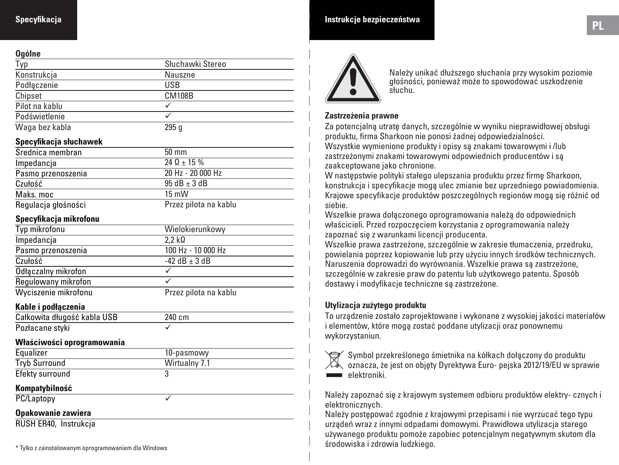#### **Specyfikacja**

#### **Ogólne**

| Słuchawki Stereo |
|------------------|
| Nauszne          |
| USB              |
| <b>CM108B</b>    |
|                  |
|                  |
| 295q             |
|                  |

#### **Specyfikacja słuchawek**

| Średnica membran    | $50 \text{ mm}$       |
|---------------------|-----------------------|
| Impedancia          | $240 + 15%$           |
| Pasmo przenoszenia  | 20 Hz - 20 000 Hz     |
| Czułość             | $95 dB + 3 dB$        |
| Maks, moc           | $15 \text{ mW}$       |
| Regulacja głośności | Przez pilota na kablu |

#### **Specyfikacja mikrofonu**

| Typ mikrofonu        | Wielokierunkowy       |
|----------------------|-----------------------|
| Impedancia           | $2.2 \text{ k}\Omega$ |
| Pasmo przenoszenia   | 100 Hz - 10 000 Hz    |
| Czułość              | $-42$ dB $+3$ dB      |
| Odłączalny mikrofon  |                       |
| Regulowany mikrofon  |                       |
| Wyciszenie mikrofonu | Przez pilota na kablu |

**Kable i podłączenia**

| Całkowita długość kabla USB | 240 cm |
|-----------------------------|--------|
| Pozłacane styki             |        |

#### **Właściwości oprogramowania**

| Equalizer            | 10-pasmowy    |
|----------------------|---------------|
| <b>Tryb Surround</b> | Wirtualny 7.1 |
| Efekty surround      |               |

#### **Kompatybilność**

PC/Laptopy v

#### **Opakowanie zawiera**

RUSH ER40, Instrukcja

### **PL Instrukcje bezpieczeństwa**



Należy unikać dłuższego słuchania przy wysokim poziomie głośności, ponieważ może to spowodować uszkodzenie słuchu.

#### **Zastrzeżenia prawne**

Za potencjalną utratę danych, szczególnie w wyniku nieprawidłowej obsługi produktu, firma Sharkoon nie ponosi żadnej odpowiedzialności. Wszystkie wymienione produkty i opisy są znakami towarowymi i /lub zastrzeżonymi znakami towarowymi odpowiednich producentów i są zaakceptowane jako chronione.

W następstwie polityki stałego ulepszania produktu przez firmę Sharkoon, konstrukcja i specyfikacje mogą ulec zmianie bez uprzedniego powiadomienia. Krajowe specyfikacje produktów poszczególnych regionów mogą się różnić od siebie.

Wszelkie prawa dołączonego oprogramowania należą do odpowiednich właścicieli. Przed rozpoczęciem korzystania z oprogramowania należy zapoznać się z warunkami licencji producenta.

Wszelkie prawa zastrzeżone, szczególnie w zakresie tłumaczenia, przedruku, powielania poprzez kopiowanie lub przy użyciu innych środków technicznych. Naruszenia doprowadzi do wyrównania. Wszelkie prawa są zastrzeżone, szczególnie w zakresie praw do patentu lub użytkowego patentu. Sposób dostawy i modyfikacje techniczne są zastrzeżone.

#### **Utylizacja zużytego produktu**

To urządzenie zostało zaprojektowane i wykonane z wysokiej jakości materiałów i elementów, które mogą zostać poddane utylizacji oraz ponownemu wykorzystaniun.



Symbol przekreślonego śmietnika na kółkach dołączony do produktu oznacza, że jest on objęty Dyrektywa Euro- pejska 2012/19/EU w sprawie elektroniki

Należy zapoznać się z krajowym systemem odbioru produktów elektry- cznych i elektronicznych.

Należy postępować zgodnie z krajowymi przepisami i nie wyrzucać tego typu urządeń wraz z innymi odpadami domowymi. Prawidłowa utylizacja starego używanego produktu pomoże zapobiec potencjalnym negatywnym skutom dla środowiska i zdrowia ludzkiego.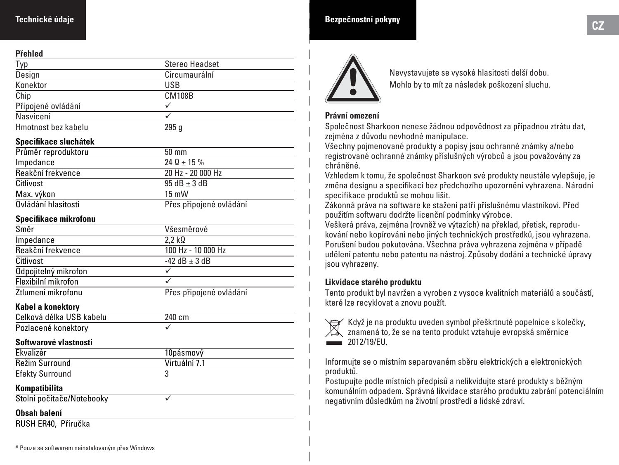#### **Technické údaje**

#### **Přehled**

| .                   |                |  |
|---------------------|----------------|--|
| Typ                 | Stereo Headset |  |
| Design              | Circumaurální  |  |
| Konektor            | USB            |  |
| Chip                | <b>CM108B</b>  |  |
| Připojené ovládání  |                |  |
| Nasvícení           |                |  |
| Hmotnost bez kabelu | 295q           |  |

#### **Specifikace sluchátek**

| Průměr reproduktoru | $50 \text{ mm}$         |
|---------------------|-------------------------|
| Impedance           | $24 \Omega + 15 \%$     |
| Reakční frekvence   | 20 Hz - 20 000 Hz       |
| Citlivost           | $95 dB + 3 dB$          |
| Max. výkon          | $15 \text{ mW}$         |
| Ovládání hlasitosti | Přes připojené ovládání |

#### **Specifikace mikrofonu**

| Směr                 | Všesměrové              |
|----------------------|-------------------------|
| Impedance            | $2.2 \text{ k}\Omega$   |
| Reakční frekvence    | 100 Hz - 10 000 Hz      |
| Citlivost            | $-42$ dB $+3$ dB        |
| Odpojitelný mikrofon |                         |
| Flexibilní mikrofon  |                         |
| Ztlumení mikrofonu   | Přes připojené ovládání |

#### **Kabel a konektory**

| Celková délka USB kabelu | 240 cm |
|--------------------------|--------|
| Pozlacené konektory      |        |

#### **Softwarové vlastnosti**

| Ekvalizér              | 10pásmový     |
|------------------------|---------------|
| Režim Surround         | Virtuální 7.1 |
| <b>Efekty Surround</b> |               |

#### **Kompatibilita**

Stolní počítače/Notebooky v

#### **Obsah balení**

RUSH ER40, Příručka

### **CZ Bezpečnostní pokyny**



Nevystavujete se vysoké hlasitosti delší dobu. Mohlo by to mít za následek poškození sluchu.

#### **Právní omezení**

Společnost Sharkoon nenese žádnou odpovědnost za případnou ztrátu dat, zejména z důvodu nevhodné manipulace.

Všechny pojmenované produkty a popisy jsou ochranné známky a/nebo registrované ochranné známky příslušných výrobců a jsou považovány za chráněné.

Vzhledem k tomu, že společnost Sharkoon své produkty neustále vylepšuje, je změna designu a specifikací bez předchozího upozornění vyhrazena. Národní specifikace produktů se mohou lišit.

Zákonná práva na software ke stažení patří příslušnému vlastníkovi. Před použitím softwaru dodržte licenční podmínky výrobce.

Veškerá práva, zejména (rovněž ve výtazích) na překlad, přetisk, reprodukování nebo kopírování nebo jiných technických prostředků, jsou vyhrazena. Porušení budou pokutována. Všechna práva vyhrazena zejména v případě udělení patentu nebo patentu na nástroj. Způsoby dodání a technické úpravy jsou vyhrazeny.

#### **Likvidace starého produktu**

Tento produkt byl navržen a vyroben z vysoce kvalitních materiálů a součástí, které lze recyklovat a znovu použít.



Když je na produktu uveden symbol přeškrtnuté popelnice s kolečky, znamená to, že se na tento produkt vztahuje evropská směrnice

Informujte se o místním separovaném sběru elektrických a elektronických produktů.

Postupujte podle místních předpisů a nelikvidujte staré produkty s běžným komunálním odpadem. Správná likvidace starého produktu zabrání potenciálním negativním důsledkům na životní prostředí a lidské zdraví.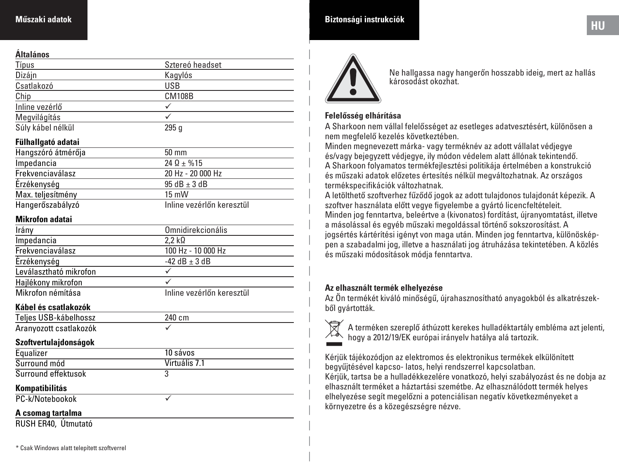#### **Műszaki adatok**

#### **Általános**

| Allaiallus             |                           |
|------------------------|---------------------------|
| Típus                  | Sztereó headset           |
| Dizájn                 | Kagylós                   |
| Csatlakozó             | <b>USB</b>                |
| Chip                   | <b>CM108B</b>             |
| Inline vezérlő         | ✓                         |
| Megvilágítás           | ✓                         |
| Súly kábel nélkül      | 295 <sub>g</sub>          |
| Fülhallgató adatai     |                           |
| Hangszóró átmérőja     | 50 mm                     |
| Impedancia             | $24 \Omega \pm \% 15$     |
| Frekvenciaválasz       | 20 Hz - 20 000 Hz         |
| Erzékenység            | $95 dB \pm 3 dB$          |
| Max. teljesítmény      | 15 mW                     |
| Hangerőszabályzó       | Inline vezérlőn keresztül |
| <b>Mikrofon adatai</b> |                           |
| Irány                  | Omnidirekcionális         |
| Impedancia             | $2.2 k\Omega$             |
| Frekvenciaválasz       | 100 Hz - 10 000 Hz        |
| Érzékenység            | $-42$ dB $\pm$ 3 dB       |
| Leválasztható mikrofon | ✓                         |
| Hajlékony mikrofon     | ✓                         |
| Mikrofon némítása      | Inline vezérlőn keresztül |
| Kábel és csatlakozók   |                           |
| Teljes USB-kábelhossz  | 240 cm                    |
| Aranyozott csatlakozók |                           |
| Szoftvertulajdonságok  |                           |
| Equalizer              | 10 sávos                  |
| Surround mód           | Virtuális 7.1             |
| Surround effektusok    | $\overline{3}$            |
| Kompatibilitás         |                           |
| PC-k/Notebookok        | ✓                         |
| A csomag tartalma      |                           |
| RUSH ER40, Útmutató    |                           |
|                        |                           |

## **HU Biztonsági instrukciók**



Ne hallgassa nagy hangerőn hosszabb ideig, mert az hallás károsodást okozhat.

#### **Felelősség elhárítása**

A Sharkoon nem vállal felelősséget az esetleges adatvesztésért, különösen a nem megfelelő kezelés következtében.

Minden megnevezett márka- vagy terméknév az adott vállalat védjegye és/vagy bejegyzett védjegye, ily módon védelem alatt állónak tekintendő. A Sharkoon folyamatos termékfejlesztési politikája értelmében a konstrukció és műszaki adatok előzetes értesítés nélkül megváltozhatnak. Az országos termékspecifikációk változhatnak.

A letölthető szoftverhez fűződő jogok az adott tulajdonos tulajdonát képezik. A szoftver használata előtt vegye figyelembe a gyártó licencfeltételeit. Minden jog fenntartva, beleértve a (kivonatos) fordítást, újranyomtatást, illetve a másolással és egyéb műszaki megoldással történő sokszorosítást. A jogsértés kártérítési igényt von maga után. Minden jog fenntartva, különösképpen a szabadalmi jog, illetve a használati jog átruházása tekintetében. A közlés és műszaki módosítások módja fenntartva.

#### **Az elhasznált termék elhelyezése**

Az Ön termékét kiváló minőségű, újrahasznosítható anyagokból és alkatrészekből gyártották.



A terméken szereplő áthúzott kerekes hulladéktartály embléma azt jelenti, hogy a 2012/19/EK európai irányelv hatálya alá tartozik.

Kérjük tájékozódjon az elektromos és elektronikus termékek elkülönített begyűjtésével kapcso- latos, helyi rendszerrel kapcsolatban. Kérjük, tartsa be a hulladékkezelére vonatkozó, helyi szabályozást és ne dobja az elhasznált terméket a háztartási szemétbe. Az elhasználódott termék helyes elhelyezése segít megelőzni a potenciálisan negatív következményeket a környezetre és a közegészségre nézve.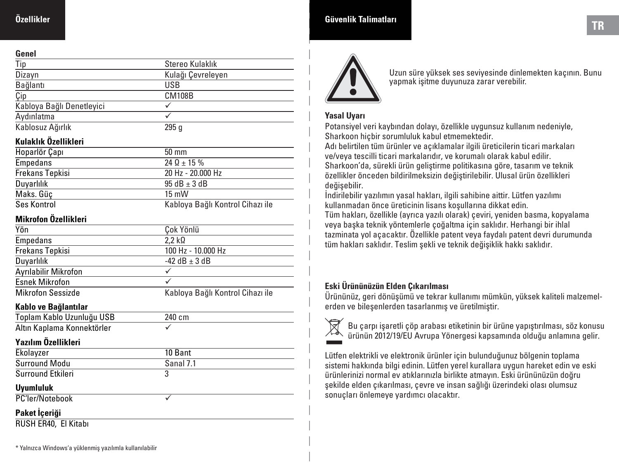#### **Genel**

| uviivi                    |                   |  |
|---------------------------|-------------------|--|
| Tip                       | Stereo Kulaklık   |  |
| Dizayn                    | Kulağı Cevreleyen |  |
| Bağlantı                  | <b>USB</b>        |  |
| Çip                       | <b>CM108B</b>     |  |
| Kabloya Bağlı Denetleyici |                   |  |
| Aydınlatma                |                   |  |
| Kablosuz Ağırlık          | 295a              |  |

#### **Kulaklık Özellikleri**

| Hoparlör Çapı   | $50 \text{ mm}$                  |
|-----------------|----------------------------------|
| Empedans        | $24 \Omega + 15 \%$              |
| Frekans Tepkisi | 20 Hz - 20.000 Hz                |
| Duyarlılık      | $95 dB + 3 dB$                   |
| Maks. Güc       | $15 \text{ mW}$                  |
| Ses Kontrol     | Kabloya Bağlı Kontrol Cihazı ile |

#### **Mikrofon Özellikleri**

| Yön                      | Cok Yönlü                        |
|--------------------------|----------------------------------|
| <b>Empedans</b>          | $2.2 k\Omega$                    |
| Frekans Tepkisi          | 100 Hz - 10.000 Hz               |
| Duyarlılık               | $-42$ dB $+3$ dB                 |
| Ayrılabilir Mikrofon     |                                  |
| <b>Esnek Mikrofon</b>    |                                  |
| <b>Mikrofon Sessizde</b> | Kabloya Bağlı Kontrol Cihazı ile |

#### **Kablo ve Bağlantılar**

| Toplam Kablo Uzunluğu USB   | 240 cm    |  |
|-----------------------------|-----------|--|
| Altın Kaplama Konnektörler  | ✓         |  |
| Yazılım Özellikleri         |           |  |
| Ekolayzer                   | 10 Bant   |  |
| Surround Modu               | Sanal 7.1 |  |
| Surround Etkileri           | 3         |  |
| <b>Uyumluluk</b>            |           |  |
| PC'ler/Notebook             |           |  |
| Paket İçeriği               |           |  |
| <b>RUSH ER40. El Kitabı</b> |           |  |

# **TR Güvenlik Talimatları**



Uzun süre yüksek ses seviyesinde dinlemekten kaçının. Bunu yapmak işitme duyunuza zarar verebilir.

#### **Yasal Uyarı**

Potansiyel veri kaybından dolayı, özellikle uygunsuz kullanım nedeniyle, Sharkoon hiçbir sorumluluk kabul etmemektedir.

Adı belirtilen tüm ürünler ve açıklamalar ilgili üreticilerin ticari markaları ve/veya tescilli ticari markalarıdır, ve korumalı olarak kabul edilir. Sharkoon'da, sürekli ürün geliştirme politikasına göre, tasarım ve teknik özellikler önceden bildirilmeksizin değiştirilebilir. Ulusal ürün özellikleri değişebilir.

İndirilebilir yazılımın yasal hakları, ilgili sahibine aittir. Lütfen yazılımı kullanmadan önce üreticinin lisans koşullarına dikkat edin.

Tüm hakları, özellikle (ayrıca yazılı olarak) çeviri, yeniden basma, kopyalama veya başka teknik yöntemlerle çoğaltma için saklıdır. Herhangi bir ihlal tazminata yol açacaktır. Özellikle patent veya faydalı patent devri durumunda tüm hakları saklıdır. Teslim şekli ve teknik değişiklik hakkı saklıdır.

### **Eski Ürününüzün Elden Çıkarılması**

Ürününüz, geri dönüşümü ve tekrar kullanımı mümkün, yüksek kaliteli malzemelerden ve bileşenlerden tasarlanmış ve üretilmiştir.



Bu çarpı işaretli çöp arabası etiketinin bir ürüne yapıştırılması, söz konusu ürünün 2012/19/EU Avrupa Yönergesi kapsamında olduğu anlamına gelir.

Lütfen elektrikli ve elektronik ürünler için bulunduğunuz bölgenin toplama sistemi hakkında bilgi edinin. Lütfen yerel kurallara uygun hareket edin ve eski ürünlerinizi normal ev atıklarınızla birlikte atmayın. Eski ürününüzün doğru şekilde elden çıkarılması, çevre ve insan sağlığı üzerindeki olası olumsuz sonuçları önlemeye yardımcı olacaktır.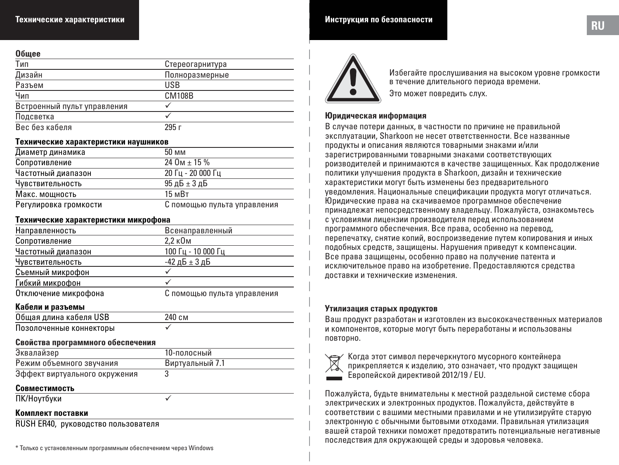#### **Общее**

| -----                       |                 |
|-----------------------------|-----------------|
| Тип                         | Стереогарнитура |
| Дизайн                      | Полноразмерные  |
| Разъем                      | <b>USB</b>      |
| Чип                         | <b>CM108B</b>   |
| Встроенный пульт управления |                 |
| Подсветка                   |                 |
| Вес без кабеля              | 295 г           |

#### **Технические характеристики наушников**

| Диаметр динамика      | 50 MM                       |
|-----------------------|-----------------------------|
| Сопротивление         | $24$ O <sub>M</sub> + 15 %  |
| Частотный диапазон    | 20 Гц - 20 000 Гц           |
| Чувствительность      | $95$ д $5 \pm 3$ д $5$      |
| Макс. мощность        | 15 <sub>M</sub> BT          |
| Регулировка громкости | С помощью пульта управления |

#### **Технические характеристики микрофона**

| Направленность           | Всенаправленный             |
|--------------------------|-----------------------------|
| Сопротивление            | 2.2 кОм                     |
| Частотный диапазон       | 100 Гц - 10 000 Гц          |
| Чувствительность         | -42 дБ $\pm$ 3 дБ           |
| Съемный микрофон         |                             |
| Гибкий микрофон          |                             |
| Отключение микрофона     | С помощью пульта управления |
| $V_{0}$ 6000 u noos osuu |                             |

#### **Кабели и разъемы**

| Общая длина кабеля USB  | 240 см |  |
|-------------------------|--------|--|
| Позолоченные коннекторы |        |  |

#### **Свойства программного обеспечения**

| Эквалайзер                    | 10-полосный     |
|-------------------------------|-----------------|
| Режим объемного звучания      | Виртуальный 7.1 |
| Эффект виртуального окружения |                 |

#### **Совместимость**

ПК/Ноутбуки

#### **Комплект поставки**

RUSH ER40, руководство пользователя

\* Только с установленным программным обеспечением через Windows



Избегайте прослушивания на высоком уровне громкости в течение длительного периода времени. Это может повредить слух.

#### **Юридическая информация**

В случае потери данных, в частности по причине не правильной эксплуатации, Sharkoon не несет ответственности. Все названные продукты и описания являются товарными знаками и/или зарегистрированными товарными знаками соответствующих роизводителей и принимаются в качестве защищенных. Как продолжение политики улучшения продукта в Sharkoon, дизайн и технические характеристики могут быть изменены без предварительного уведомления. Национальные спецификации продукта могут отличаться. Юридические права на скачиваемое программное обеспечение принадлежат непосредственному владельцу. Пожалуйста, ознакомьтесь с условиями лицензии производителя перед использованием программного обеспечения. Все права, особенно на перевод, перепечатку, снятие копий, воспроизведение путем копирования и иных подобных средств, защищены. Нарушения приведут к компенсации. Все права защищены, особенно право на получение патента и исключительное право на изобретение. Предоставляются средства доставки и технические изменения.

#### **Утилизация старых продуктов**

Ваш продукт разработан и изготовлен из высококачественных материалов и компонентов, которые могут быть переработаны и использованы повторно.



Когда этот символ перечеркнутого мусорного контейнера прикрепляется к изделию, это означает, что продукт защищен Европейской директивой 2012/19 / EU.

Пожалуйста, будьте внимательны к местной раздельной системе сбора электрических и электронных продуктов. Пожалуйста, действуйте в соответствии с вашими местными правилами и не утилизируйте старую электронную с обычными бытовыми отходами. Правильная утилизация вашей старой техники поможет предотвратить потенциальные негативные последствия для окружающей среды и здоровья человека.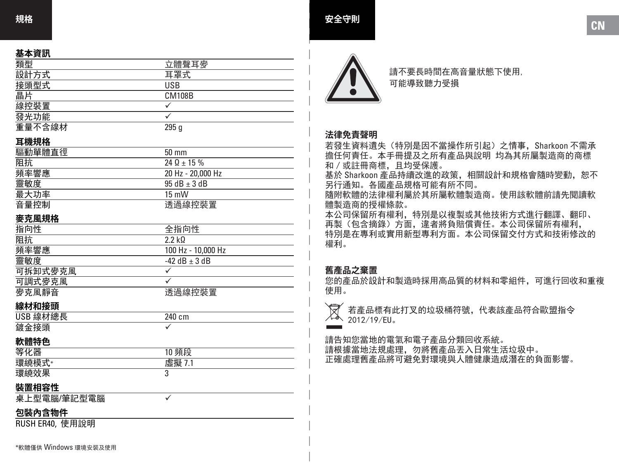#### **基本資訊**

| -----  |               |
|--------|---------------|
| 類型     | 立體聲耳麥         |
| 設計方式   | 耳罩式           |
| 接頭型式   | <b>USB</b>    |
| 晶片     | <b>CM108B</b> |
| 線控裝置   |               |
| 發光功能   |               |
| 重量不含線材 | 295q          |

#### **耳機規格**

| 驅動單體直徑 | $50 \text{ mm}$   |
|--------|-------------------|
| 阻抗     | $240 + 15%$       |
| 頻率響應   | 20 Hz - 20,000 Hz |
| 靈敏度    | $95 dB + 3 dB$    |
| 最大功率   | $15 \text{ mW}$   |
| 音量控制   | 诱過線控裝置            |

#### **麥克風規格**

| ---------- |                    |
|------------|--------------------|
| 指向性        | 全指向性               |
| 阻抗         | 22 kO              |
| 頻率響應       | 100 Hz - 10.000 Hz |
| 靈敏度        | $-42$ dB $+3$ dB   |
| 可拆卸式麥克風    |                    |
| 可調式麥克風     |                    |
| 麥克風靜音      | 诱過線控裝置             |
|            |                    |

#### **線材和接頭**

| USB 線材總長 | 240 cm |
|----------|--------|
| 鍍金接頭     |        |

#### **軟體特色**

| $\overline{\phantom{a}}$<br>-- | --     |
|--------------------------------|--------|
| гu                             | . .    |
| гц                             | ,<br>υ |

 $\overline{\checkmark}$ 

#### **裝置相容性**

桌上型電腦 /筆記型電腦

### **包裝內含物件**

RUSH ER40, 使用說明



請不要長時間在高音量狀態下使用, 可能導致聽力受損

#### **法律免責聲明**

若發生資料遺失(特別是因不當操作所引起)之情事,Sharkoon 不需承 擔任何責任。本手冊提及之所有產品與說明 均為其所屬製造商的商標 和/或註冊商標,且均受保護。

基於 Sharkoon 產品持續改進的政策, 相關設計和規格會隨時變動, 恕不 另行通知。各國產品規格可能有所不同。

隨附軟體的法律權利屬於其所屬軟體製造商。使用該軟體前請先閱讀軟 體製造商的授權條款。

本公司保留所有權利,特別是以複製或其他技術方式進行翻譯、翻印、 再製(包含摘錄)方面,違者將負賠償責任。本公司保留所有權利, 特別是在專利或實用新型專利方面。本公司保留交付方式和技術修改的 權利。

#### **舊產品之棄置**

您的產品於設計和製造時採用高品質的材料和零組件,可進行回收和重複 使用。



請告知您當地的電氣和電子產品分類回收系統。 請根據當地法規處理,勿將舊產品丟入日常生活垃圾中。 正確處理舊產品將可避免對環境與人體健康造成潛在的負面影響。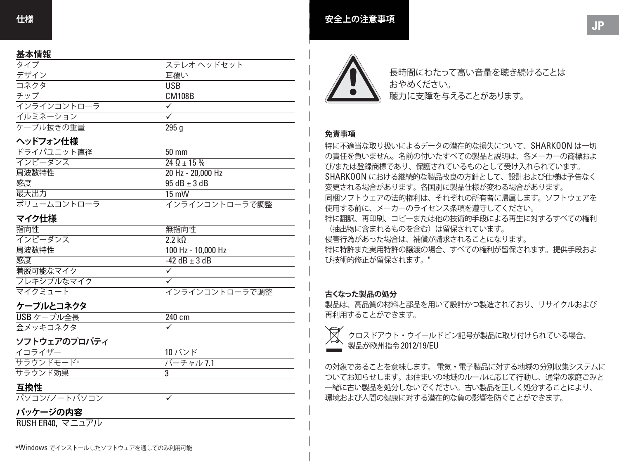#### **基本情報**

| ステレオ ヘッドセット |
|-------------|
| 耳覆い         |
| <b>USB</b>  |
| CM108B      |
|             |
|             |
| 295 a       |
|             |

#### **ヘッドフォン仕様**

| ドライバユニット直径  | $50 \text{ mm}$   |
|-------------|-------------------|
| インピーダンス     | $240 + 15%$       |
| 周波数特性       | 20 Hz - 20,000 Hz |
| 感度          | $95$ dB + 3 dB    |
| 最大出力        | $15 \text{ mW}$   |
| ボリュームコントローラ | インラインコントローラで調整    |

#### **マイク仕様**

| 指向性        | 無指向性               |
|------------|--------------------|
| インピーダンス    | 22k0               |
| 周波数特性      | 100 Hz - 10.000 Hz |
| 感度         | $-42$ dB $+3$ dB   |
| 着脱可能なマイク   |                    |
| フレキシブルなマイク |                    |
| マイクミュート    | インラインコントローラで調整     |

#### **ケーブルとコネクタ**

| USB ケーブル全長 | 240 cm |
|------------|--------|
| 金メッキコネクタ   |        |

#### **ソフトウェアのプロパティ**

| イコライザー    | 10 バンド    |
|-----------|-----------|
| サラウンドモード* | バーチャル 7.1 |
| サラウンド効果   |           |

#### **互換性**

パソコン/ノートパソコン

#### **パッケージの内容**

RUSH ER40, マニュアル



長時間にわたって高い音量を聴き続けることは おやめください。 聴力に支障を与えることがあります。

#### **免責事項**

特に不適当な取り扱いによるデータの潜在的な損失について、SHARKOON は一切 の責任を負いません。名前の付いたすべての製品と説明は、各メーカーの商標およ び/または登録商標であり、保護されているものとして受け入れられています。 SHARKOON における継続的な製品改良の方針として、設計および仕様は予告なく 変更される場合があります。各国別に製品仕様が変わる場合があります。 同梱ソフトウェアの法的権利は、それぞれの所有者に帰属します。ソフトウェアを 使用する前に、メーカーのライセンス条項を遵守してください。 特に翻訳、再印刷、コピーまたは他の技術的手段による再生に対するすべての権利 (抽出物に含まれるものを含む)は留保されています。 侵害行為があった場合は、補償が請求されることになります。 特に特許また実用特許の譲渡の場合、すべての権利が留保されます。提供手段およ び技術的修正が留保されます。"

#### **古くなった製品の処分**

製品は、高品質の材料と部品を用いて設計かつ製造されており、リサイクルおよび 再利用することができます。



クロスドアウト・ウイールドビン記号が製品に取り付けられている場合、 製品が欧州指令 2012/19/EU

の対象であることを意味します。 電気・電子製品に対する地域の分別収集システムに ついてお知らせします。お住まいの地域のルールに応じて行動し、通常の家庭ごみと 一緒に古い製品を処分しないでください。古い製品を正しく処分することにより、 環境および人間の健康に対する潜在的な負の影響を防ぐことができます。